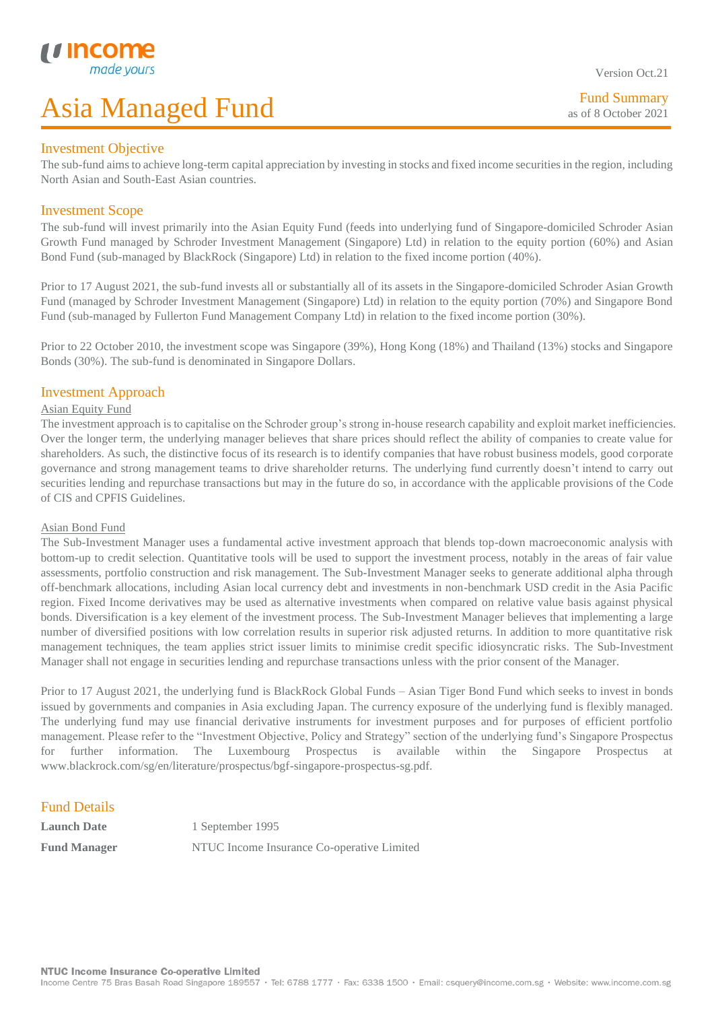#### Investment Objective

L

The sub-fund aimsto achieve long-term capital appreciation by investing in stocks and fixed income securities in the region, including North Asian and South-East Asian countries.

### Investment Scope

The sub-fund will invest primarily into the Asian Equity Fund (feeds into underlying fund of Singapore-domiciled Schroder Asian Growth Fund managed by Schroder Investment Management (Singapore) Ltd) in relation to the equity portion (60%) and Asian Bond Fund (sub-managed by BlackRock (Singapore) Ltd) in relation to the fixed income portion (40%).

Prior to 17 August 2021, the sub-fund invests all or substantially all of its assets in the Singapore-domiciled Schroder Asian Growth Fund (managed by Schroder Investment Management (Singapore) Ltd) in relation to the equity portion (70%) and Singapore Bond Fund (sub-managed by Fullerton Fund Management Company Ltd) in relation to the fixed income portion (30%).

Prior to 22 October 2010, the investment scope was Singapore (39%), Hong Kong (18%) and Thailand (13%) stocks and Singapore Bonds (30%). The sub-fund is denominated in Singapore Dollars.

#### Investment Approach

#### Asian Equity Fund

The investment approach is to capitalise on the Schroder group's strong in-house research capability and exploit market inefficiencies. Over the longer term, the underlying manager believes that share prices should reflect the ability of companies to create value for shareholders. As such, the distinctive focus of its research is to identify companies that have robust business models, good corporate governance and strong management teams to drive shareholder returns. The underlying fund currently doesn't intend to carry out securities lending and repurchase transactions but may in the future do so, in accordance with the applicable provisions of the Code of CIS and CPFIS Guidelines.

#### Asian Bond Fund

The Sub-Investment Manager uses a fundamental active investment approach that blends top-down macroeconomic analysis with bottom-up to credit selection. Quantitative tools will be used to support the investment process, notably in the areas of fair value assessments, portfolio construction and risk management. The Sub-Investment Manager seeks to generate additional alpha through off-benchmark allocations, including Asian local currency debt and investments in non-benchmark USD credit in the Asia Pacific region. Fixed Income derivatives may be used as alternative investments when compared on relative value basis against physical bonds. Diversification is a key element of the investment process. The Sub-Investment Manager believes that implementing a large number of diversified positions with low correlation results in superior risk adjusted returns. In addition to more quantitative risk management techniques, the team applies strict issuer limits to minimise credit specific idiosyncratic risks. The Sub-Investment Manager shall not engage in securities lending and repurchase transactions unless with the prior consent of the Manager.

Prior to 17 August 2021, the underlying fund is BlackRock Global Funds – Asian Tiger Bond Fund which seeks to invest in bonds issued by governments and companies in Asia excluding Japan. The currency exposure of the underlying fund is flexibly managed. The underlying fund may use financial derivative instruments for investment purposes and for purposes of efficient portfolio management. Please refer to the "Investment Objective, Policy and Strategy" section of the underlying fund's Singapore Prospectus for further information. The Luxembourg Prospectus is available within the Singapore Prospectus at www.blackrock.com/sg/en/literature/prospectus/bgf-singapore-prospectus-sg.pdf.

### Fund Details

**Launch Date** 1 September 1995 **Fund Manager** NTUC Income Insurance Co-operative Limited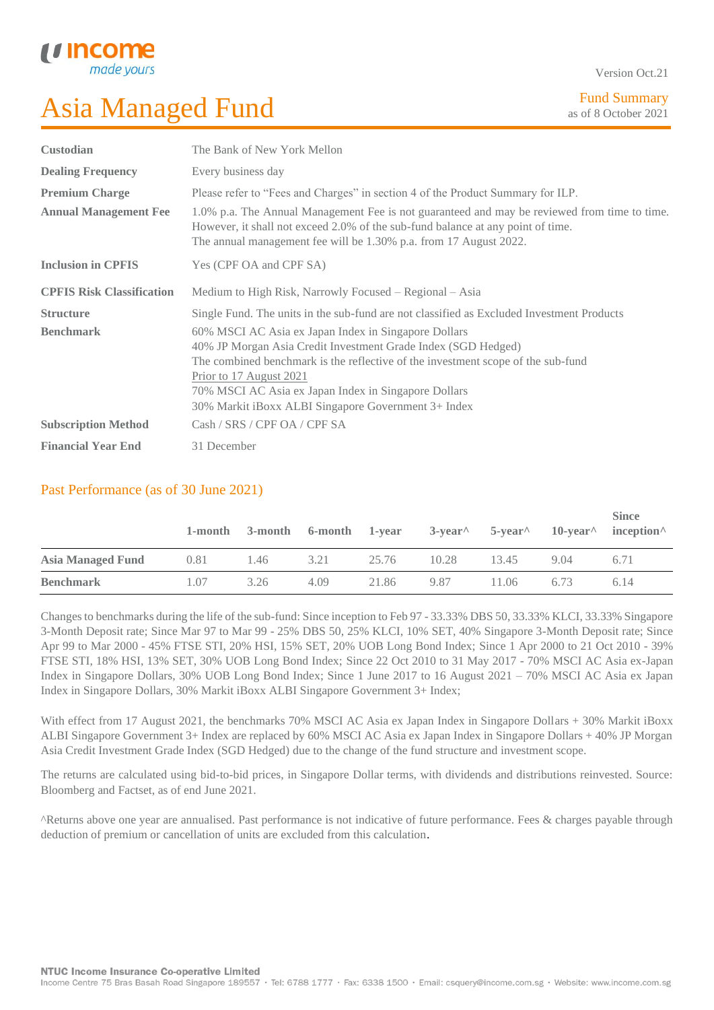

Version Oct.21

| <b>Custodian</b>                                      | The Bank of New York Mellon                                                                                                                                                                                                                                                                                                                         |  |  |  |  |
|-------------------------------------------------------|-----------------------------------------------------------------------------------------------------------------------------------------------------------------------------------------------------------------------------------------------------------------------------------------------------------------------------------------------------|--|--|--|--|
| <b>Dealing Frequency</b>                              | Every business day                                                                                                                                                                                                                                                                                                                                  |  |  |  |  |
| <b>Premium Charge</b><br><b>Annual Management Fee</b> | Please refer to "Fees and Charges" in section 4 of the Product Summary for ILP.<br>1.0% p.a. The Annual Management Fee is not guaranteed and may be reviewed from time to time.<br>However, it shall not exceed 2.0% of the sub-fund balance at any point of time.<br>The annual management fee will be 1.30% p.a. from 17 August 2022.             |  |  |  |  |
| <b>Inclusion in CPFIS</b>                             | Yes (CPF OA and CPF SA)                                                                                                                                                                                                                                                                                                                             |  |  |  |  |
| <b>CPFIS Risk Classification</b>                      | Medium to High Risk, Narrowly Focused – Regional – Asia                                                                                                                                                                                                                                                                                             |  |  |  |  |
| <b>Structure</b>                                      | Single Fund. The units in the sub-fund are not classified as Excluded Investment Products                                                                                                                                                                                                                                                           |  |  |  |  |
| <b>Benchmark</b>                                      | 60% MSCI AC Asia ex Japan Index in Singapore Dollars<br>40% JP Morgan Asia Credit Investment Grade Index (SGD Hedged)<br>The combined benchmark is the reflective of the investment scope of the sub-fund<br>Prior to 17 August 2021<br>70% MSCI AC Asia ex Japan Index in Singapore Dollars<br>30% Markit iBoxx ALBI Singapore Government 3+ Index |  |  |  |  |
| <b>Subscription Method</b>                            | Cash / SRS / CPF OA / CPF SA                                                                                                                                                                                                                                                                                                                        |  |  |  |  |
| <b>Financial Year End</b>                             | 31 December                                                                                                                                                                                                                                                                                                                                         |  |  |  |  |

### Past Performance (as of 30 June 2021)

|                          | 1-month | 3-month | 6-month 1-year |       | $3$ -year <sup><math>\wedge</math></sup> | 5-year <sup>^</sup> | 10-vear $^{\wedge}$ | <b>Since</b><br>$incention^{\wedge}$ |
|--------------------------|---------|---------|----------------|-------|------------------------------------------|---------------------|---------------------|--------------------------------------|
| <b>Asia Managed Fund</b> | 0.81    | 1.46    | 3.21           | 25.76 | 10.28                                    | 13.45               | 9.04                | 6.71                                 |
| <b>Benchmark</b>         | 1.07    | 3.26    | 4.09           | 21.86 | 9.87                                     | 11.06               | 6.73                | 6.14                                 |

Changes to benchmarks during the life of the sub-fund: Since inception to Feb 97 - 33.33% DBS 50, 33.33% KLCI, 33.33% Singapore 3-Month Deposit rate; Since Mar 97 to Mar 99 - 25% DBS 50, 25% KLCI, 10% SET, 40% Singapore 3-Month Deposit rate; Since Apr 99 to Mar 2000 - 45% FTSE STI, 20% HSI, 15% SET, 20% UOB Long Bond Index; Since 1 Apr 2000 to 21 Oct 2010 - 39% FTSE STI, 18% HSI, 13% SET, 30% UOB Long Bond Index; Since 22 Oct 2010 to 31 May 2017 - 70% MSCI AC Asia ex-Japan Index in Singapore Dollars, 30% UOB Long Bond Index; Since 1 June 2017 to 16 August 2021 – 70% MSCI AC Asia ex Japan Index in Singapore Dollars, 30% Markit iBoxx ALBI Singapore Government 3+ Index;

With effect from 17 August 2021, the benchmarks 70% MSCI AC Asia ex Japan Index in Singapore Dollars + 30% Markit iBoxx ALBI Singapore Government 3+ Index are replaced by 60% MSCI AC Asia ex Japan Index in Singapore Dollars + 40% JP Morgan Asia Credit Investment Grade Index (SGD Hedged) due to the change of the fund structure and investment scope.

The returns are calculated using bid-to-bid prices, in Singapore Dollar terms, with dividends and distributions reinvested. Source: Bloomberg and Factset, as of end June 2021.

^Returns above one year are annualised. Past performance is not indicative of future performance. Fees & charges payable through deduction of premium or cancellation of units are excluded from this calculation.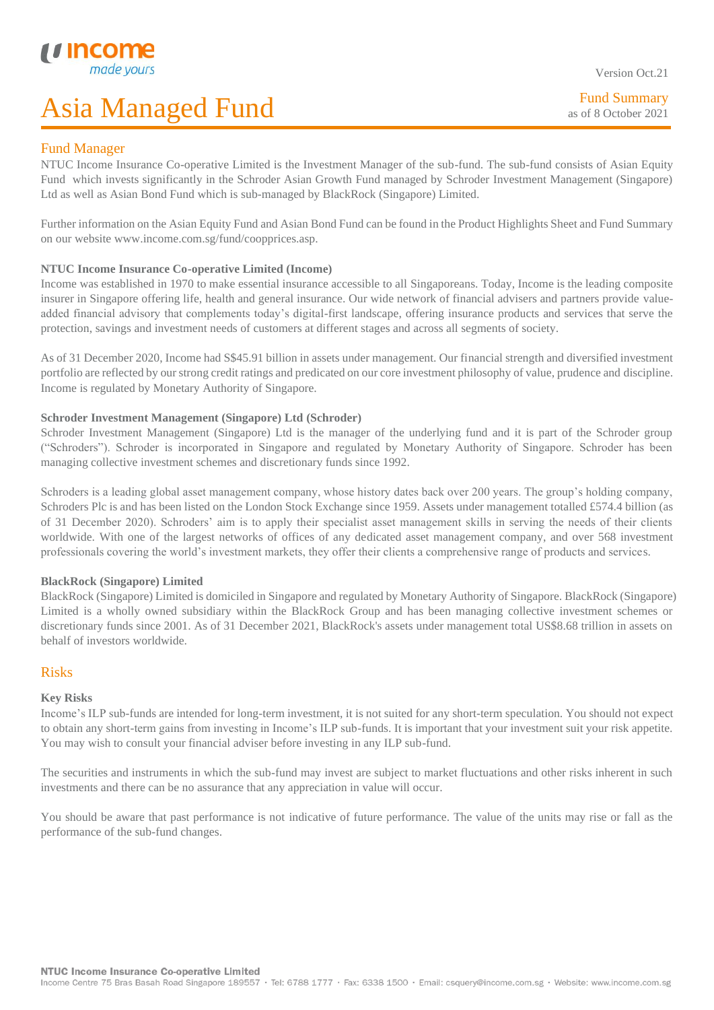Fund Summary as of 8 October 2021

#### Fund Manager

L

NTUC Income Insurance Co-operative Limited is the Investment Manager of the sub-fund. The sub-fund consists of Asian Equity Fund which invests significantly in the Schroder Asian Growth Fund managed by Schroder Investment Management (Singapore) Ltd as well as Asian Bond Fund which is sub-managed by BlackRock (Singapore) Limited.

Further information on the Asian Equity Fund and Asian Bond Fund can be found in the Product Highlights Sheet and Fund Summary on our website www.income.com.sg/fund/coopprices.asp.

#### **NTUC Income Insurance Co-operative Limited (Income)**

Income was established in 1970 to make essential insurance accessible to all Singaporeans. Today, Income is the leading composite insurer in Singapore offering life, health and general insurance. Our wide network of financial advisers and partners provide valueadded financial advisory that complements today's digital-first landscape, offering insurance products and services that serve the protection, savings and investment needs of customers at different stages and across all segments of society.

As of 31 December 2020, Income had S\$45.91 billion in assets under management. Our financial strength and diversified investment portfolio are reflected by our strong credit ratings and predicated on our core investment philosophy of value, prudence and discipline. Income is regulated by Monetary Authority of Singapore.

#### **Schroder Investment Management (Singapore) Ltd (Schroder)**

Schroder Investment Management (Singapore) Ltd is the manager of the underlying fund and it is part of the Schroder group ("Schroders"). Schroder is incorporated in Singapore and regulated by Monetary Authority of Singapore. Schroder has been managing collective investment schemes and discretionary funds since 1992.

Schroders is a leading global asset management company, whose history dates back over 200 years. The group's holding company, Schroders Plc is and has been listed on the London Stock Exchange since 1959. Assets under management totalled £574.4 billion (as of 31 December 2020). Schroders' aim is to apply their specialist asset management skills in serving the needs of their clients worldwide. With one of the largest networks of offices of any dedicated asset management company, and over 568 investment professionals covering the world's investment markets, they offer their clients a comprehensive range of products and services.

#### **BlackRock (Singapore) Limited**

BlackRock (Singapore) Limited is domiciled in Singapore and regulated by Monetary Authority of Singapore. BlackRock (Singapore) Limited is a wholly owned subsidiary within the BlackRock Group and has been managing collective investment schemes or discretionary funds since 2001. As of 31 December 2021, BlackRock's assets under management total US\$8.68 trillion in assets on behalf of investors worldwide.

#### Risks

#### **Key Risks**

Income's ILP sub-funds are intended for long-term investment, it is not suited for any short-term speculation. You should not expect to obtain any short-term gains from investing in Income's ILP sub-funds. It is important that your investment suit your risk appetite. You may wish to consult your financial adviser before investing in any ILP sub-fund.

The securities and instruments in which the sub-fund may invest are subject to market fluctuations and other risks inherent in such investments and there can be no assurance that any appreciation in value will occur.

You should be aware that past performance is not indicative of future performance. The value of the units may rise or fall as the performance of the sub-fund changes.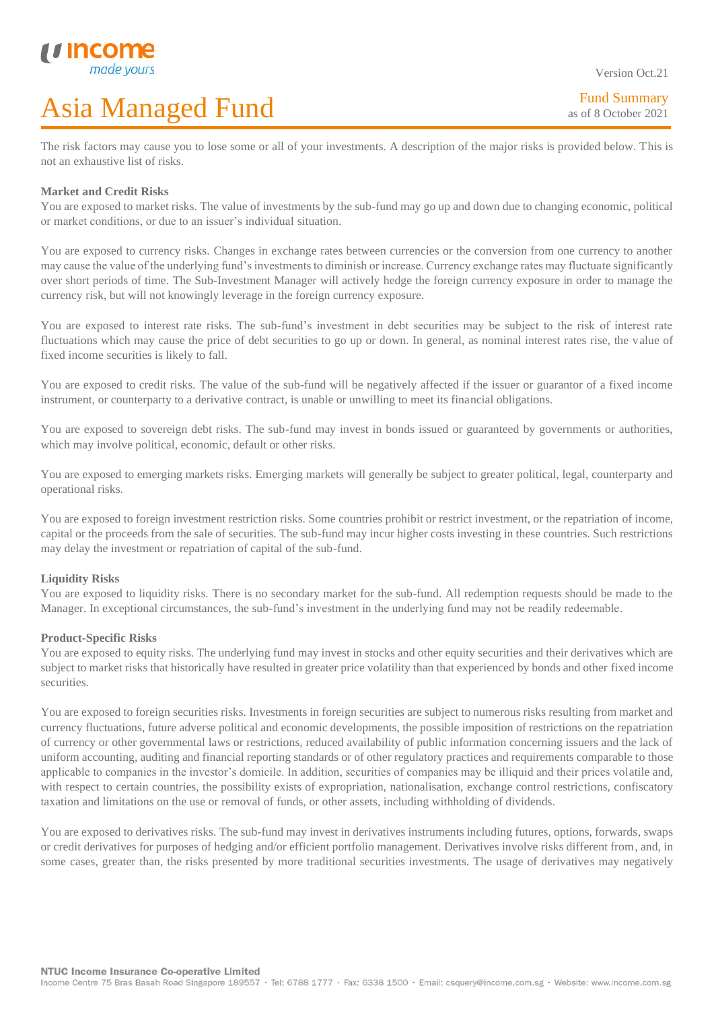Version Oct.21

L The risk factors may cause you to lose some or all of your investments. A description of the major risks is provided below. This is not an exhaustive list of risks.

### **Market and Credit Risks**

You are exposed to market risks. The value of investments by the sub-fund may go up and down due to changing economic, political or market conditions, or due to an issuer's individual situation.

You are exposed to currency risks. Changes in exchange rates between currencies or the conversion from one currency to another may cause the value of the underlying fund's investments to diminish or increase. Currency exchange rates may fluctuate significantly over short periods of time. The Sub-Investment Manager will actively hedge the foreign currency exposure in order to manage the currency risk, but will not knowingly leverage in the foreign currency exposure.

You are exposed to interest rate risks. The sub-fund's investment in debt securities may be subject to the risk of interest rate fluctuations which may cause the price of debt securities to go up or down. In general, as nominal interest rates rise, the value of fixed income securities is likely to fall.

You are exposed to credit risks. The value of the sub-fund will be negatively affected if the issuer or guarantor of a fixed income instrument, or counterparty to a derivative contract, is unable or unwilling to meet its financial obligations.

You are exposed to sovereign debt risks. The sub-fund may invest in bonds issued or guaranteed by governments or authorities, which may involve political, economic, default or other risks.

You are exposed to emerging markets risks. Emerging markets will generally be subject to greater political, legal, counterparty and operational risks.

You are exposed to foreign investment restriction risks. Some countries prohibit or restrict investment, or the repatriation of income, capital or the proceeds from the sale of securities. The sub-fund may incur higher costs investing in these countries. Such restrictions may delay the investment or repatriation of capital of the sub-fund.

#### **Liquidity Risks**

You are exposed to liquidity risks. There is no secondary market for the sub-fund. All redemption requests should be made to the Manager. In exceptional circumstances, the sub-fund's investment in the underlying fund may not be readily redeemable.

### **Product-Specific Risks**

You are exposed to equity risks. The underlying fund may invest in stocks and other equity securities and their derivatives which are subject to market risks that historically have resulted in greater price volatility than that experienced by bonds and other fixed income securities.

You are exposed to foreign securities risks. Investments in foreign securities are subject to numerous risks resulting from market and currency fluctuations, future adverse political and economic developments, the possible imposition of restrictions on the repatriation of currency or other governmental laws or restrictions, reduced availability of public information concerning issuers and the lack of uniform accounting, auditing and financial reporting standards or of other regulatory practices and requirements comparable to those applicable to companies in the investor's domicile. In addition, securities of companies may be illiquid and their prices volatile and, with respect to certain countries, the possibility exists of expropriation, nationalisation, exchange control restrictions, confiscatory taxation and limitations on the use or removal of funds, or other assets, including withholding of dividends.

You are exposed to derivatives risks. The sub-fund may invest in derivatives instruments including futures, options, forwards, swaps or credit derivatives for purposes of hedging and/or efficient portfolio management. Derivatives involve risks different from, and, in some cases, greater than, the risks presented by more traditional securities investments. The usage of derivatives may negatively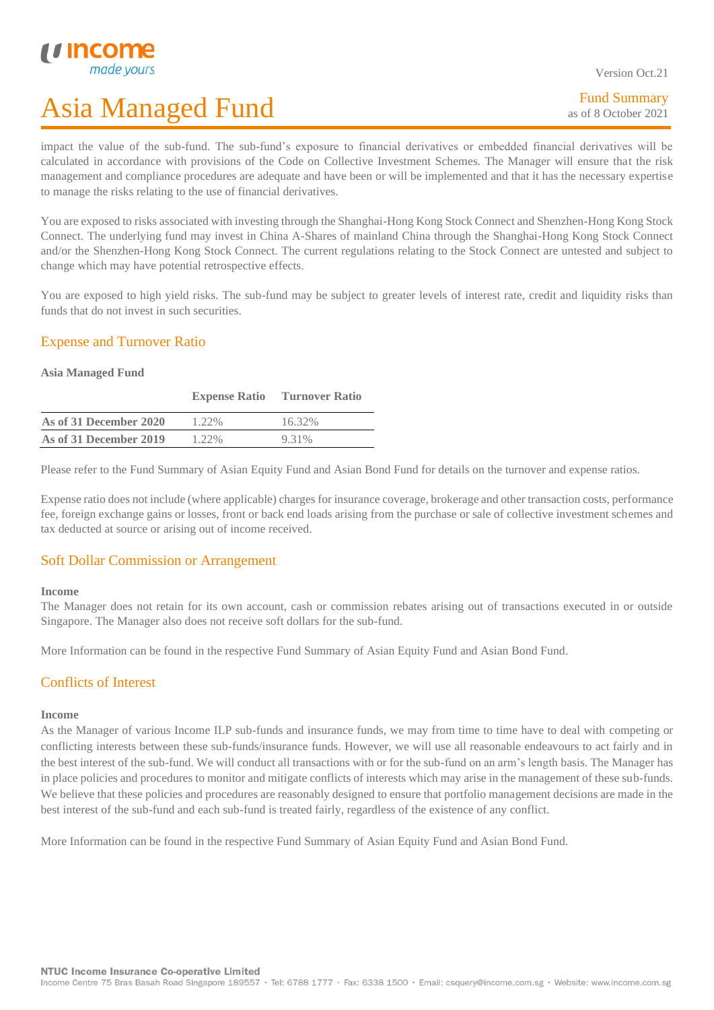L

# Asia Managed Fund

Version Oct.21

impact the value of the sub-fund. The sub-fund's exposure to financial derivatives or embedded financial derivatives will be calculated in accordance with provisions of the Code on Collective Investment Schemes. The Manager will ensure that the risk management and compliance procedures are adequate and have been or will be implemented and that it has the necessary expertise to manage the risks relating to the use of financial derivatives.

You are exposed to risks associated with investing through the Shanghai-Hong Kong Stock Connect and Shenzhen-Hong Kong Stock Connect. The underlying fund may invest in China A-Shares of mainland China through the Shanghai-Hong Kong Stock Connect and/or the Shenzhen-Hong Kong Stock Connect. The current regulations relating to the Stock Connect are untested and subject to change which may have potential retrospective effects.

You are exposed to high yield risks. The sub-fund may be subject to greater levels of interest rate, credit and liquidity risks than funds that do not invest in such securities.

### Expense and Turnover Ratio

#### **Asia Managed Fund**

|                        | <b>Expense Ratio</b> | <b>Turnover Ratio</b> |
|------------------------|----------------------|-----------------------|
| As of 31 December 2020 | $1.22\%$             | 16.32%                |
| As of 31 December 2019 | $1.22\%$             | 9.31%                 |

Please refer to the Fund Summary of Asian Equity Fund and Asian Bond Fund for details on the turnover and expense ratios.

Expense ratio does not include (where applicable) charges for insurance coverage, brokerage and other transaction costs, performance fee, foreign exchange gains or losses, front or back end loads arising from the purchase or sale of collective investment schemes and tax deducted at source or arising out of income received.

### Soft Dollar Commission or Arrangement

#### **Income**

The Manager does not retain for its own account, cash or commission rebates arising out of transactions executed in or outside Singapore. The Manager also does not receive soft dollars for the sub-fund.

More Information can be found in the respective Fund Summary of Asian Equity Fund and Asian Bond Fund.

### Conflicts of Interest

#### **Income**

As the Manager of various Income ILP sub-funds and insurance funds, we may from time to time have to deal with competing or conflicting interests between these sub-funds/insurance funds. However, we will use all reasonable endeavours to act fairly and in the best interest of the sub-fund. We will conduct all transactions with or for the sub-fund on an arm's length basis. The Manager has in place policies and procedures to monitor and mitigate conflicts of interests which may arise in the management of these sub-funds. We believe that these policies and procedures are reasonably designed to ensure that portfolio management decisions are made in the best interest of the sub-fund and each sub-fund is treated fairly, regardless of the existence of any conflict.

More Information can be found in the respective Fund Summary of Asian Equity Fund and Asian Bond Fund.

NTUC Income Insurance Co-operative Limited